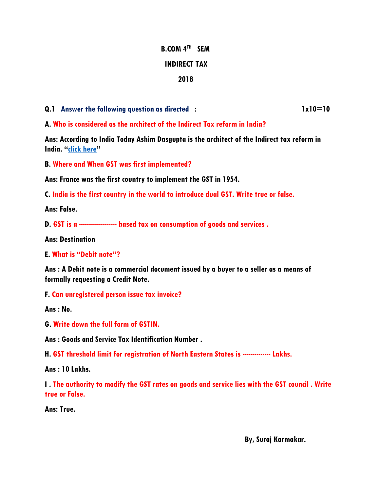# **B.COM 4TH SEM INDIRECT TAX 2018**

**Q.1** Answer the following question as directed : 1x10=10

**A. Who is considered as the architect of the Indirect Tax reform in India?**

**Ans: According to India Today Ashim Dasgupta is the architect of the Indirect tax reform in India. "[click here](https://www.indiatoday.in/india/story/goods-and-services-gst-reformers-atal-bihari-asim-dasgupta-chidambaram-arun-jaitley-985352-2017-06-29)"**

**B. Where and When GST was first implemented?**

**Ans: France was the first country to implement the GST in 1954.**

**C. India is the first country in the world to introduce dual GST. Write true or false.**

**Ans: False.**

**D. GST is a ------------------- based tax on consumption of goods and services .**

**Ans: Destination** 

**E. What is "Debit note"?**

**Ans : A Debit note is a commercial document issued by a buyer to a seller as a means of formally requesting a Credit Note.**

**F. Can unregistered person issue tax invoice?**

**Ans : No.**

**G. Write down the full form of GSTIN.**

**Ans : Goods and Service Tax Identification Number .**

**H. GST threshold limit for registration of North Eastern States is -------------- Lakhs.**

**Ans : 10 Lakhs.**

**I . The authority to modify the GST rates on goods and service lies with the GST council . Write true or False.**

**Ans: True.**

 **By, Suraj Karmakar.**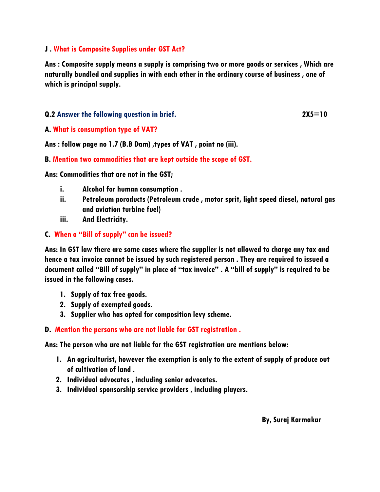#### **J . What is Composite Supplies under GST Act?**

**Ans : Composite supply means a supply is comprising two or more goods or services , Which are naturally bundled and supplies in with each other in the ordinary course of business , one of which is principal supply.**

#### **Q.2 Answer the following question in brief. 2X5=10**

#### **A. What is consumption type of VAT?**

**Ans : follow page no 1.7 (B.B Dam) ,types of VAT , point no (iii).**

#### **B. Mention two commodities that are kept outside the scope of GST.**

**Ans: Commodities that are not in the GST;**

- **i. Alcohol for human consumption .**
- **ii. Petroleum poroducts (Petroleum crude , motor sprit, light speed diesel, natural gas and aviation turbine fuel)**
- **iii. And Electricity.**

#### **C. When a "Bill of supply" can be issued?**

**Ans: In GST law there are some cases where the supplier is not allowed to charge any tax and hence a tax invoice cannot be issued by such registered person . They are required to issued a document called "Bill of supply" in place of "tax invoice" . A "bill of supply" is required to be issued in the following cases.**

- **1. Supply of tax free goods.**
- **2. Supply of exempted goods.**
- **3. Supplier who has opted for composition levy scheme.**

### **D. Mention the persons who are not liable for GST registration .**

**Ans: The person who are not liable for the GST registration are mentions below:**

- **1. An agriculturist, however the exemption is only to the extent of supply of produce out of cultivation of land .**
- **2. Individual advocates , including senior advocates.**
- **3. Individual sponsorship service providers , including players.**

 **By, Suraj Karmakar**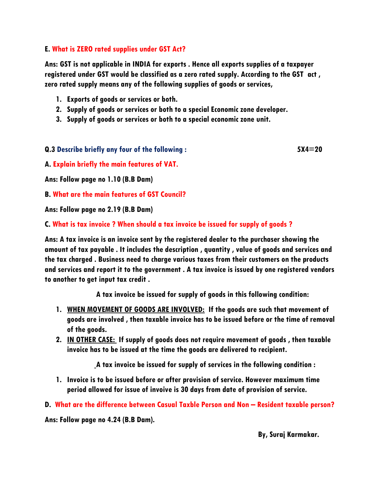### **E. What is ZERO rated supplies under GST Act?**

**Ans: GST is not applicable in INDIA for exports . Hence all exports supplies of a taxpayer registered under GST would be classified as a zero rated supply. According to the GST act , zero rated supply means any of the following supplies of goods or services,**

- **1. Exports of goods or services or both.**
- **2. Supply of goods or services or both to a special Economic zone developer.**
- **3. Supply of goods or services or both to a special economic zone unit.**

#### **Q.3 Describe briefly any four of the following : 5X4=20**

**A. Explain briefly the main features of VAT.**

**Ans: Follow page no 1.10 (B.B Dam)**

**B. What are the main features of GST Council?**

**Ans: Follow page no 2.19 (B.B Dam)**

**C. What is tax invoice ? When should a tax invoice be issued for supply of goods ?**

**Ans: A tax invoice is an invoice sent by the registered dealer to the purchaser showing the amount of tax payable . It includes the description , quantity , value of goods and services and the tax charged . Business need to charge various taxes from their customers on the products and services and report it to the government . A tax invoice is issued by one registered vendors to another to get input tax credit .**

 **A tax invoice be issued for supply of goods in this following condition:**

- **1. WHEN MOVEMENT OF GOODS ARE INVOLVED: If the goods are such that movement of goods are involved , then taxable invoice has to be issued before or the time of removal of the goods.**
- **2. IN OTHER CASE: If supply of goods does not require movement of goods , then taxable invoice has to be issued at the time the goods are delivered to recipient.**

 **A tax invoice be issued for supply of services in the following condition :**

**1. Invoice is to be issued before or after provision of service. However maximum time period allowed for issue of invoive is 30 days from date of provision of service.**

**D. What are the difference between Casual Taxble Person and Non – Resident taxable person?**

**Ans: Follow page no 4.24 (B.B Dam).**

 **By, Suraj Karmakar.**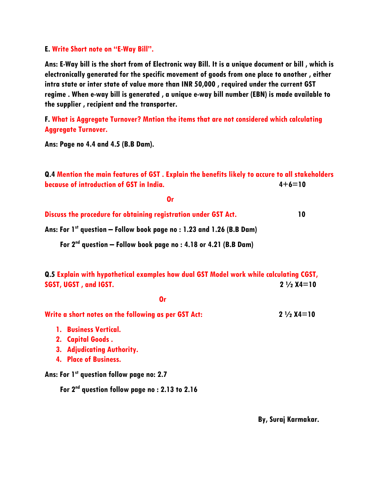#### **E. Write Short note on "E-Way Bill".**

**Ans: E-Way bill is the short from of Electronic way Bill. It is a unique document or bill , which is electronically generated for the specific movement of goods from one place to another , either intra state or inter state of value more than INR 50,000 , required under the current GST regime . When e-way bill is generated , a unique e-way bill number (EBN) is made available to the supplier , recipient and the transporter.**

**F. What is Aggregate Turnover? Mntion the items that are not considered which calculating Aggregate Turnover.**

**Ans: Page no 4.4 and 4.5 (B.B Dam).**

**Q.4 Mention the main features of GST . Explain the benefits likely to accure to all stakeholders because of introduction of GST in India. 4+6=10**

| Discuss the procedure for obtaining registration under GST Act. |  |
|-----------------------------------------------------------------|--|

**Ans: For 1st question – Follow book page no : 1.23 and 1.26 (B.B Dam)**

 **For 2nd question – Follow book page no : 4.18 or 4.21 (B.B Dam)**

**Q.5 Explain with hypothetical examples how dual GST Model work while calculating CGST, SGST, UGST , and IGST. 2 ½ X4=10**

 *Orientation of the Contract of the Contract of the Contract of the Contract of the Contract of the Contract of the Contract of the Contract of the Contract of the Contract of the Contract of the Contract of the Contract* 

Write a short notes on the following as per GST Act: **2** 1/2 X4=10

- **1. Business Vertical.**
- **2. Capital Goods .**
- **3. Adjudicating Authority.**
- **4. Place of Business.**

**Ans: For 1st question follow page no: 2.7**

 **For 2nd question follow page no : 2.13 to 2.16**

 **By, Suraj Karmakar.**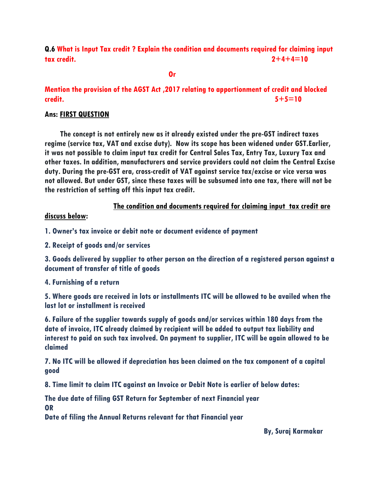**Q.6 What is Input Tax credit ? Explain the condition and documents required for claiming input tax credit. 2+4+4=10**

*<u> Oriental Anti-American Street (2001)</u>* 

# **Mention the provision of the AGST Act ,2017 relating to apportionment of credit and blocked credit. 5+5=10**

### **Ans: FIRST QUESTION**

 **The concept is not entirely new as it already existed under the pre-GST indirect taxes regime (service tax, VAT and excise duty). Now its scope has been widened under GST.Earlier, it was not possible to claim input tax credit for Central Sales Tax, Entry Tax, Luxury Tax and other taxes. In addition, manufacturers and service providers could not claim the Central Excise duty. During the pre-GST era, cross-credit of VAT against service tax/excise or vice versa was not allowed. But under GST, since these taxes will be subsumed into one tax, there will not be the restriction of setting off this input tax credit.**

### **The condition and documents required for claiming input tax credit are**

#### **discuss below:**

**1. Owner's tax invoice or debit note or document evidence of payment**

**2. Receipt of goods and/or services**

**3. Goods delivered by supplier to other person on the direction of a registered person against a document of transfer of title of goods**

**4. Furnishing of a return**

**5. Where goods are received in lots or installments ITC will be allowed to be availed when the last lot or installment is received**

**6. Failure of the supplier towards supply of goods and/or services within 180 days from the date of invoice, ITC already claimed by recipient will be added to output tax liability and interest to paid on such tax involved. On payment to supplier, ITC will be again allowed to be claimed**

**7. No ITC will be allowed if depreciation has been claimed on the tax component of a capital good**

**8. Time limit to claim ITC against an Invoice or Debit Note is earlier of below dates:**

**The due date of filing GST Return for September of next Financial year OR**

**Date of filing the Annual Returns relevant for that Financial year**

 **By, Suraj Karmakar**